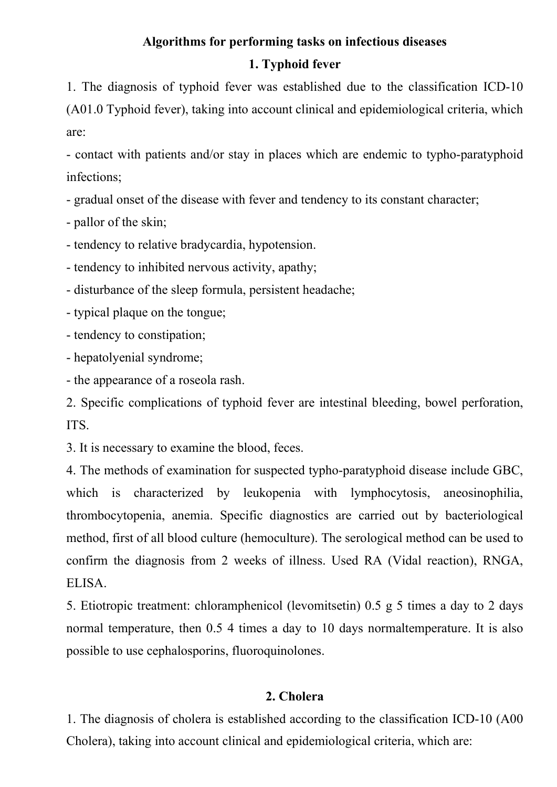# **Algorithms for performing tasks on infectious diseases**

### **1. Typhoid fever**

1. The diagnosis of typhoid fever was established due to the classification ICD-10 (A01.0 Typhoid fever), taking into account clinical and epidemiological criteria, which are:

- contact with patients and/or stay in places which are endemic to typho-paratyphoid infections;

- gradual onset of the disease with fever and tendency to its constant character;

- pallor of the skin;

- tendency to relative bradycardia, hypotension.

- tendency to inhibited nervous activity, apathy;
- disturbance of the sleep formula, persistent headache;
- typical plaque on the tongue;
- tendency to constipation;
- hepatolyenial syndrome;
- the appearance of a roseola rash.

2. Specific complications of typhoid fever are intestinal bleeding, bowel perforation, ITS.

3. It is necessary to examine the blood, feces.

4. The methods of examination for suspected typho-paratyphoid disease include GBC, which is characterized by leukopenia with lymphocytosis, aneosinophilia, thrombocytopenia, anemia. Specific diagnostics are carried out by bacteriological method, first of all blood culture (hemoculture). The serological method can be used to confirm the diagnosis from 2 weeks of illness. Used RA (Vidal reaction), RNGA, ELISA.

5. Etiotropic treatment: chloramphenicol (levomitsetin) 0.5 g 5 times a day to 2 days normal temperature, then 0.5 4 times a day to 10 days normaltemperature. It is also possible to use cephalosporins, fluoroquinolones.

## **2. Cholera**

1. The diagnosis of cholera is established according to the classification ICD-10 (A00 Cholera), taking into account clinical and epidemiological criteria, which are: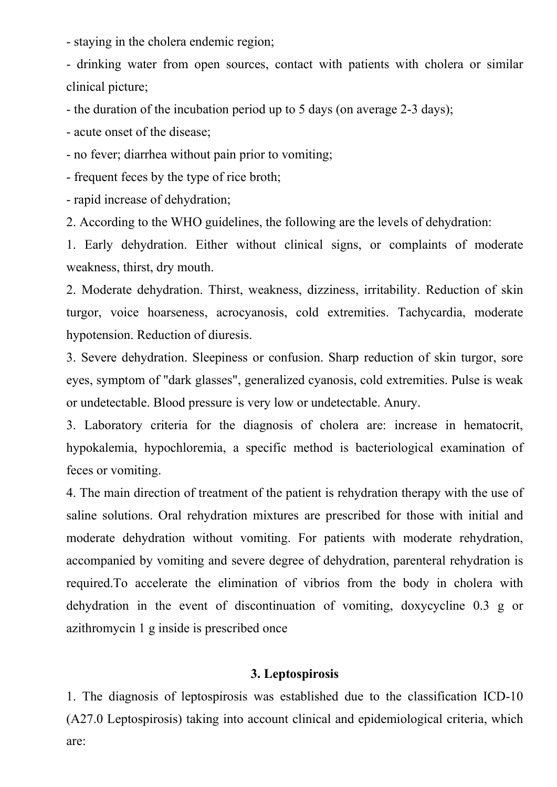- staying in the cholera endemic region;

- drinking water from open sources, contact with patients with cholera or similar clinical picture;

- the duration of the incubation period up to 5 days (on average 2-3 days);

- acute onset of the disease;

- no fever; diarrhea without pain prior to vomiting;

- frequent feces by the type of rice broth;

- rapid increase of dehydration;

2. According to the WHO guidelines, the following are the levels of dehydration:

1. Early dehydration. Either without clinical signs, or complaints of moderate weakness, thirst, dry mouth.

2. Moderate dehydration. Thirst, weakness, dizziness, irritability. Reduction of skin turgor, voice hoarseness, acrocyanosis, cold extremities. Tachycardia, moderate hypotension. Reduction of diuresis.

3. Severe dehydration. Sleepiness or confusion. Sharp reduction of skin turgor, sore eyes, symptom of "dark glasses", generalized cyanosis, cold extremities. Pulse is weak or undetectable. Blood pressure is very low or undetectable. Anury.

3. Laboratory criteria for the diagnosis of cholera are: increase in hematocrit, hypokalemia, hypochloremia, a specific method is bacteriological examination of feces or vomiting.

4. The main direction of treatment of the patient is rehydration therapy with the use of saline solutions. Oral rehydration mixtures are prescribed for those with initial and moderate dehydration without vomiting. For patients with moderate rehydration, accompanied by vomiting and severe degree of dehydration, parenteral rehydration is required.To accelerate the elimination of vibrios from the body in cholera with dehydration in the event of discontinuation of vomiting, doxycycline 0.3 g or azithromycin 1 g inside is prescribed once

#### **3. Leptospirosis**

1. The diagnosis of leptospirosis was established due to the classification ICD-10 (A27.0 Leptospirosis) taking into account clinical and epidemiological criteria, which are: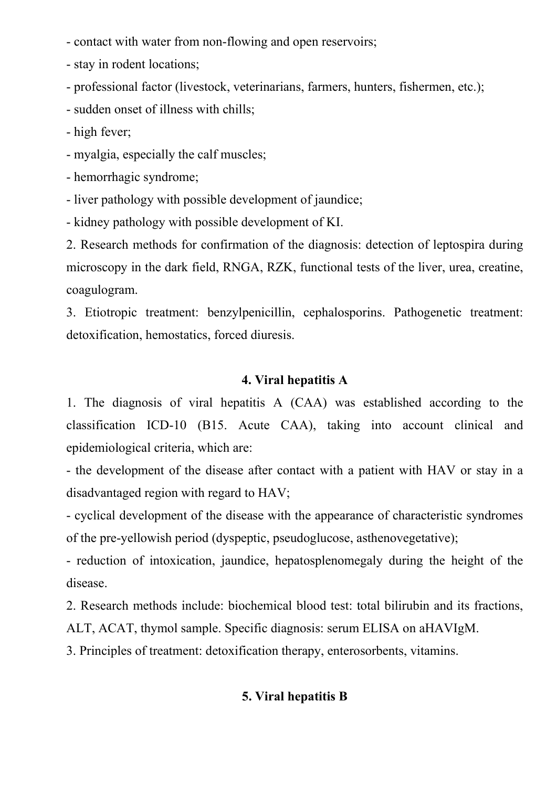- contact with water from non-flowing and open reservoirs;

- stay in rodent locations;

- professional factor (livestock, veterinarians, farmers, hunters, fishermen, etc.);

- sudden onset of illness with chills;

- high fever;

- myalgia, especially the calf muscles;

- hemorrhagic syndrome;

- liver pathology with possible development of jaundice;

- kidney pathology with possible development of KI.

2. Research methods for confirmation of the diagnosis: detection of leptospira during microscopy in the dark field, RNGA, RZK, functional tests of the liver, urea, creatine, coagulogram.

3. Etiotropic treatment: benzylpenicillin, cephalosporins. Pathogenetic treatment: detoxification, hemostatics, forced diuresis.

# **4. Viral hepatitis A**

1. The diagnosis of viral hepatitis A (CAA) was established according to the classification ICD-10 (B15. Acute CAA), taking into account clinical and epidemiological criteria, which are:

- the development of the disease after contact with a patient with HAV or stay in a disadvantaged region with regard to HAV;

- cyclical development of the disease with the appearance of characteristic syndromes of the pre-yellowish period (dyspeptic, pseudoglucose, asthenovegetative);

- reduction of intoxication, jaundice, hepatosplenomegaly during the height of the disease.

2. Research methods include: biochemical blood test: total bilirubin and its fractions, ALT, ACAT, thymol sample. Specific diagnosis: serum ELISA on aHAVIgM.

3. Principles of treatment: detoxification therapy, enterosorbents, vitamins.

# **5. Viral hepatitis B**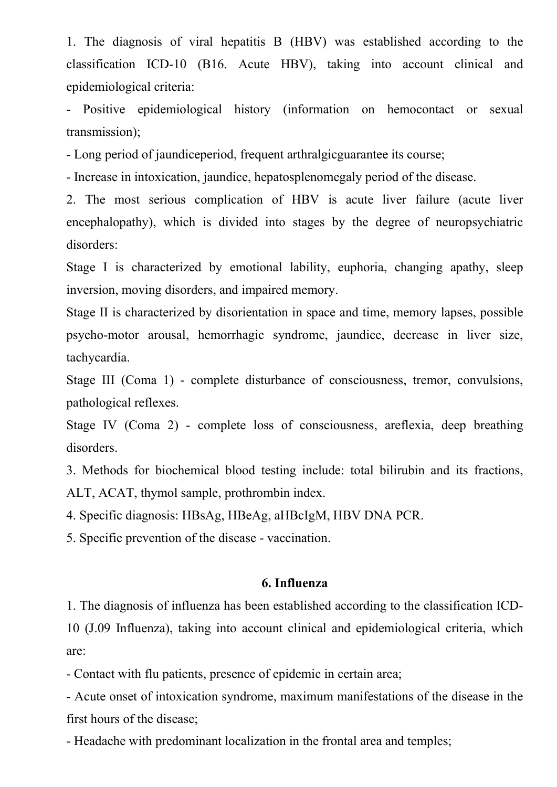1. The diagnosis of viral hepatitis B (HBV) was established according to the classification ICD-10 (B16. Acute HBV), taking into account clinical and epidemiological criteria:

Positive epidemiological history (information on hemocontact or sexual transmission);

- Long period of jaundiceperiod, frequent arthralgicguarantee its course;

- Increase in intoxication, jaundice, hepatosplenomegaly period of the disease.

2. The most serious complication of HBV is acute liver failure (acute liver encephalopathy), which is divided into stages by the degree of neuropsychiatric disorders:

Stage I is characterized by emotional lability, euphoria, changing apathy, sleep inversion, moving disorders, and impaired memory.

Stage II is characterized by disorientation in space and time, memory lapses, possible psycho-motor arousal, hemorrhagic syndrome, jaundice, decrease in liver size, tachycardia.

Stage III (Coma 1) - complete disturbance of consciousness, tremor, convulsions, pathological reflexes.

Stage IV (Coma 2) - complete loss of consciousness, areflexia, deep breathing disorders.

3. Methods for biochemical blood testing include: total bilirubin and its fractions, ALT, ACAT, thymol sample, prothrombin index.

4. Specific diagnosis: HBsAg, HBeAg, aHBcIgM, HBV DNA PCR.

5. Specific prevention of the disease - vaccination.

### **6. Influenza**

1. The diagnosis of influenza has been established according to the classification ICD-10 (J.09 Influenza), taking into account clinical and epidemiological criteria, which are:

- Contact with flu patients, presence of epidemic in certain area;

- Acute onset of intoxication syndrome, maximum manifestations of the disease in the first hours of the disease;

- Headache with predominant localization in the frontal area and temples;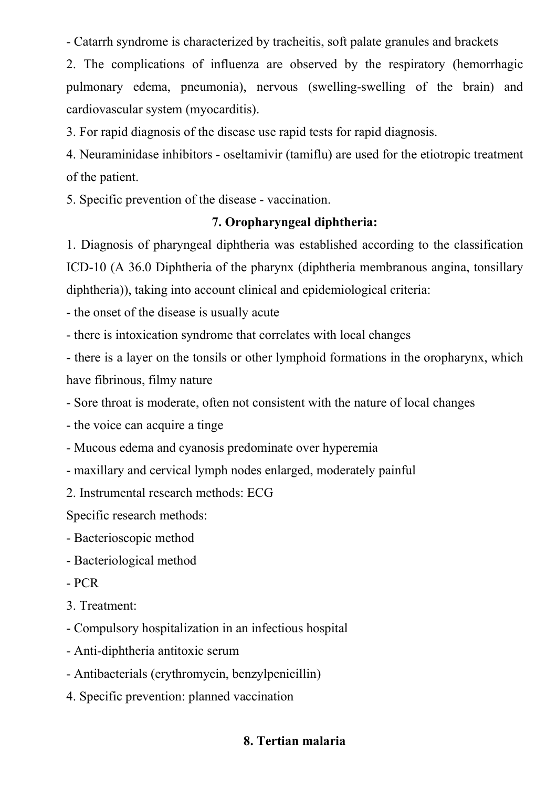- Catarrh syndrome is characterized by tracheitis, soft palate granules and brackets

2. The complications of influenza are observed by the respiratory (hemorrhagic pulmonary edema, pneumonia), nervous (swelling-swelling of the brain) and cardiovascular system (myocarditis).

3. For rapid diagnosis of the disease use rapid tests for rapid diagnosis.

4. Neuraminidase inhibitors - oseltamivir (tamiflu) are used for the etiotropic treatment of the patient.

5. Specific prevention of the disease - vaccination.

## **7. Oropharyngeal diphtheria:**

1. Diagnosis of pharyngeal diphtheria was established according to the classification ICD-10 (A 36.0 Diphtheria of the pharynx (diphtheria membranous angina, tonsillary diphtheria)), taking into account clinical and epidemiological criteria:

- the onset of the disease is usually acute

- there is intoxication syndrome that correlates with local changes

- there is a layer on the tonsils or other lymphoid formations in the oropharynx, which have fibrinous, filmy nature

- Sore throat is moderate, often not consistent with the nature of local changes

- the voice can acquire a tinge

- Mucous edema and cyanosis predominate over hyperemia

- maxillary and cervical lymph nodes enlarged, moderately painful

2. Instrumental research methods: ECG

Specific research methods:

- Bacterioscopic method

- Bacteriological method

- PCR

3. Treatment:

- Compulsory hospitalization in an infectious hospital

- Anti-diphtheria antitoxic serum

- Antibacterials (erythromycin, benzylpenicillin)

4. Specific prevention: planned vaccination

## **8. Tertian malaria**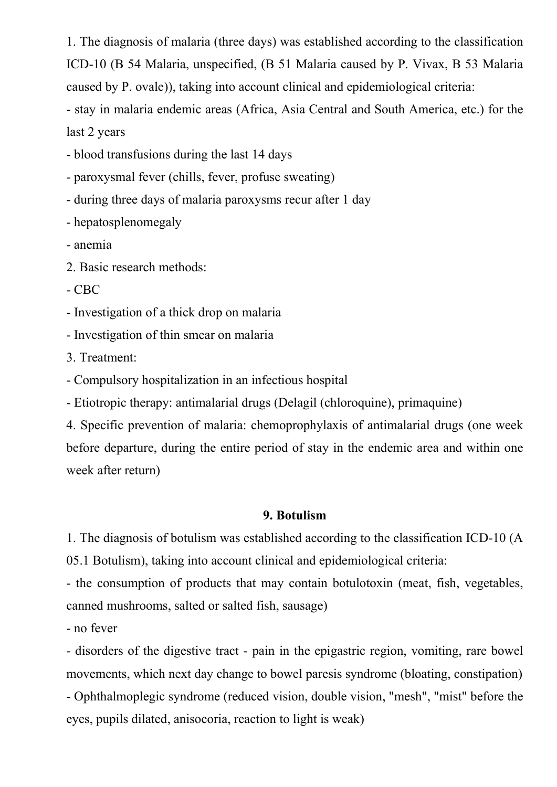1. The diagnosis of malaria (three days) was established according to the classification ICD-10 (B 54 Malaria, unspecified, (B 51 Malaria caused by P. Vivax, B 53 Malaria caused by P. ovale)), taking into account clinical and epidemiological criteria:

- stay in malaria endemic areas (Africa, Asia Central and South America, etc.) for the last 2 years

- blood transfusions during the last 14 days
- paroxysmal fever (chills, fever, profuse sweating)
- during three days of malaria paroxysms recur after 1 day
- hepatosplenomegaly
- anemia
- 2. Basic research methods:
- CBC
- Investigation of a thick drop on malaria
- Investigation of thin smear on malaria
- 3. Treatment:
- Compulsory hospitalization in an infectious hospital
- Etiotropic therapy: antimalarial drugs (Delagil (chloroquine), primaquine)

4. Specific prevention of malaria: chemoprophylaxis of antimalarial drugs (one week before departure, during the entire period of stay in the endemic area and within one week after return)

# **9. Botulism**

1. The diagnosis of botulism was established according to the classification ICD-10 (A 05.1 Botulism), taking into account clinical and epidemiological criteria:

- the consumption of products that may contain botulotoxin (meat, fish, vegetables, canned mushrooms, salted or salted fish, sausage)

- no fever

- disorders of the digestive tract - pain in the epigastric region, vomiting, rare bowel movements, which next day change to bowel paresis syndrome (bloating, constipation)

- Ophthalmoplegic syndrome (reduced vision, double vision, "mesh", "mist" before the eyes, pupils dilated, anisocoria, reaction to light is weak)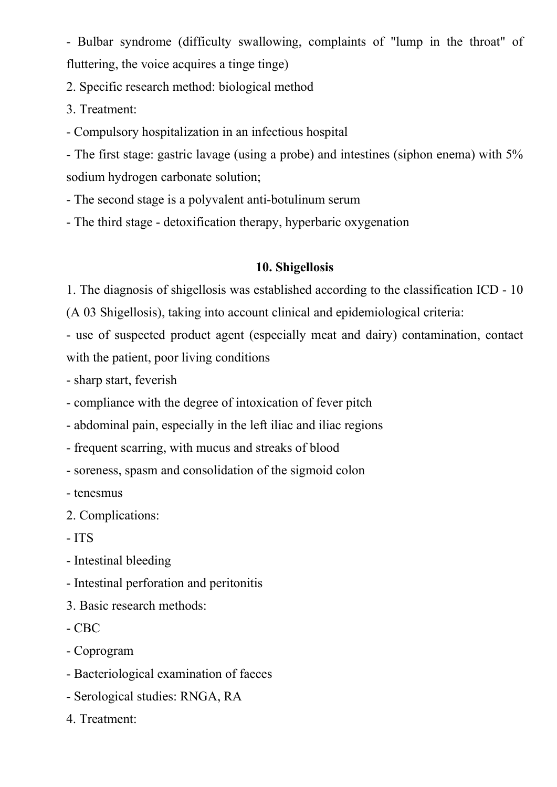- Bulbar syndrome (difficulty swallowing, complaints of "lump in the throat" of fluttering, the voice acquires a tinge tinge)

2. Specific research method: biological method

3. Treatment:

- Compulsory hospitalization in an infectious hospital

- The first stage: gastric lavage (using a probe) and intestines (siphon enema) with 5% sodium hydrogen carbonate solution;

- The second stage is a polyvalent anti-botulinum serum

- The third stage - detoxification therapy, hyperbaric oxygenation

# **10. Shigellosis**

1. The diagnosis of shigellosis was established according to the classification ICD - 10 (A 03 Shigellosis), taking into account clinical and epidemiological criteria:

- use of suspected product agent (especially meat and dairy) contamination, contact with the patient, poor living conditions

- sharp start, feverish

- compliance with the degree of intoxication of fever pitch

- abdominal pain, especially in the left iliac and iliac regions

- frequent scarring, with mucus and streaks of blood

- soreness, spasm and consolidation of the sigmoid colon

- tenesmus

2. Complications:

- ITS

- Intestinal bleeding

- Intestinal perforation and peritonitis

3. Basic research methods:

- CBC

- Coprogram

- Bacteriological examination of faeces

- Serological studies: RNGA, RA

4. Treatment: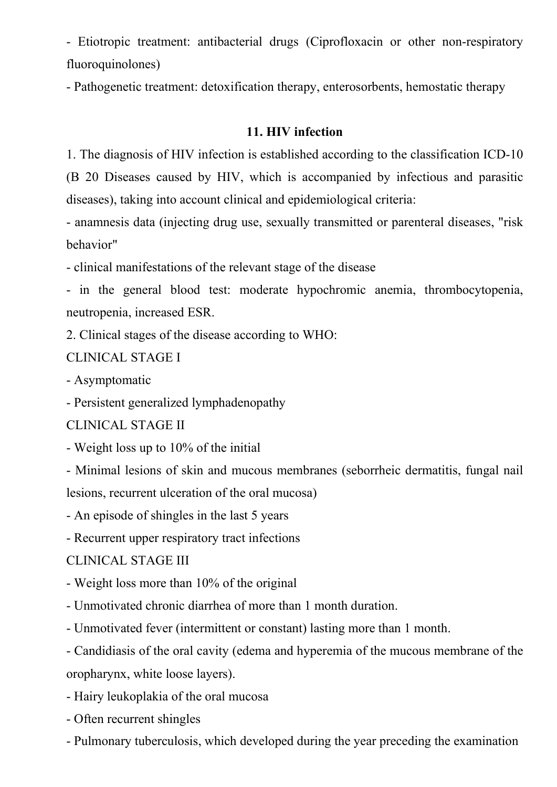- Etiotropic treatment: antibacterial drugs (Ciprofloxacin or other non-respiratory fluoroquinolones)

- Pathogenetic treatment: detoxification therapy, enterosorbents, hemostatic therapy

# **11. HIV infection**

1. The diagnosis of HIV infection is established according to the classification ICD-10 (B 20 Diseases caused by HIV, which is accompanied by infectious and parasitic diseases), taking into account clinical and epidemiological criteria:

- anamnesis data (injecting drug use, sexually transmitted or parenteral diseases, "risk behavior"

- clinical manifestations of the relevant stage of the disease

- in the general blood test: moderate hypochromic anemia, thrombocytopenia, neutropenia, increased ESR.

2. Clinical stages of the disease according to WHO:

CLINICAL STAGE I

- Asymptomatic

- Persistent generalized lymphadenopathy

CLINICAL STAGE II

- Weight loss up to 10% of the initial

- Minimal lesions of skin and mucous membranes (seborrheic dermatitis, fungal nail lesions, recurrent ulceration of the oral mucosa)

- An episode of shingles in the last 5 years

- Recurrent upper respiratory tract infections

CLINICAL STAGE III

- Weight loss more than 10% of the original

- Unmotivated chronic diarrhea of more than 1 month duration.

- Unmotivated fever (intermittent or constant) lasting more than 1 month.

- Candidiasis of the oral cavity (edema and hyperemia of the mucous membrane of the oropharynx, white loose layers).

- Hairy leukoplakia of the oral mucosa

- Often recurrent shingles

- Pulmonary tuberculosis, which developed during the year preceding the examination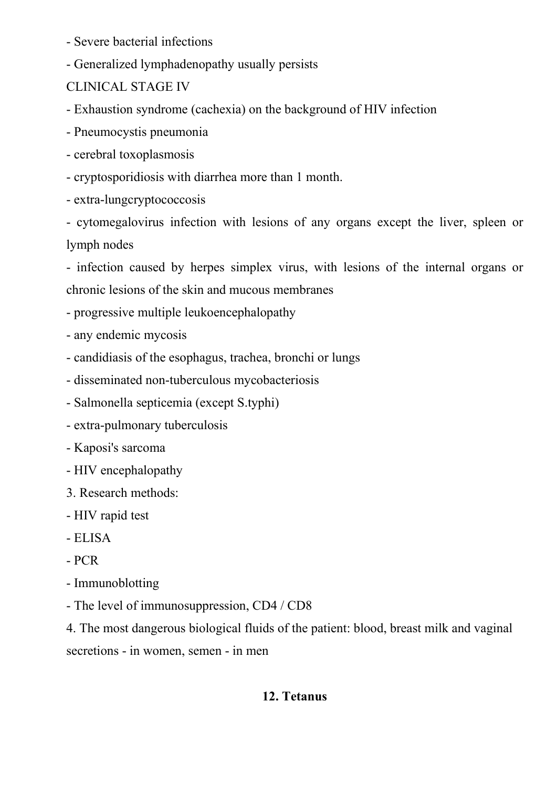- Severe bacterial infections
- Generalized lymphadenopathy usually persists
- CLINICAL STAGE IV
- Exhaustion syndrome (cachexia) on the background of HIV infection
- Pneumocystis pneumonia
- cerebral toxoplasmosis
- cryptosporidiosis with diarrhea more than 1 month.
- extra-lungcryptococcosis
- cytomegalovirus infection with lesions of any organs except the liver, spleen or lymph nodes
- infection caused by herpes simplex virus, with lesions of the internal organs or chronic lesions of the skin and mucous membranes
- progressive multiple leukoencephalopathy
- any endemic mycosis
- candidiasis of the esophagus, trachea, bronchi or lungs
- disseminated non-tuberculous mycobacteriosis
- Salmonella septicemia (except S.typhi)
- extra-pulmonary tuberculosis
- Kaposi's sarcoma
- HIV encephalopathy
- 3. Research methods:
- HIV rapid test
- ELISA
- PCR
- Immunoblotting
- The level of immunosuppression, CD4 / CD8

# **12. Tetanus**

<sup>4.</sup> The most dangerous biological fluids of the patient: blood, breast milk and vaginal secretions - in women, semen - in men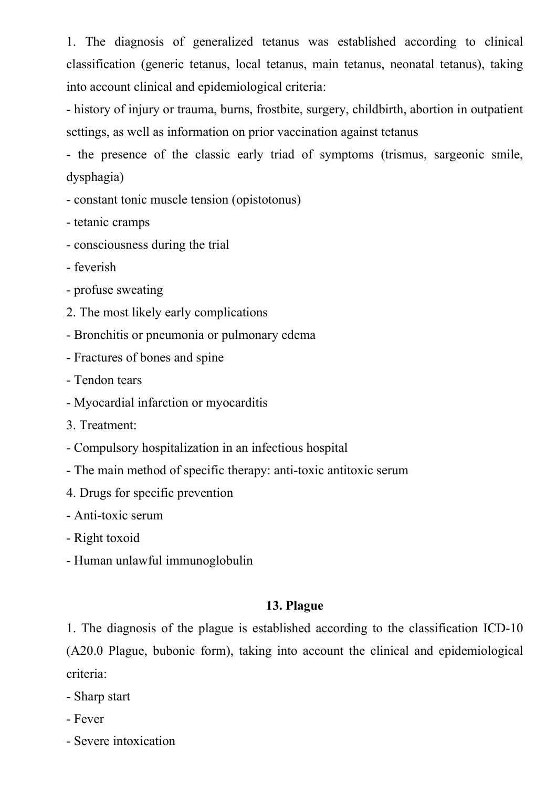1. The diagnosis of generalized tetanus was established according to clinical classification (generic tetanus, local tetanus, main tetanus, neonatal tetanus), taking into account clinical and epidemiological criteria:

- history of injury or trauma, burns, frostbite, surgery, childbirth, abortion in outpatient settings, as well as information on prior vaccination against tetanus

- the presence of the classic early triad of symptoms (trismus, sargeonic smile, dysphagia)

- constant tonic muscle tension (opistotonus)
- tetanic cramps
- consciousness during the trial
- feverish
- profuse sweating
- 2. The most likely early complications
- Bronchitis or pneumonia or pulmonary edema
- Fractures of bones and spine
- Tendon tears
- Myocardial infarction or myocarditis
- 3. Treatment:
- Compulsory hospitalization in an infectious hospital
- The main method of specific therapy: anti-toxic antitoxic serum
- 4. Drugs for specific prevention
- Anti-toxic serum
- Right toxoid
- Human unlawful immunoglobulin

#### **13. Plague**

1. The diagnosis of the plague is established according to the classification ICD-10 (A20.0 Plague, bubonic form), taking into account the clinical and epidemiological criteria:

- Sharp start
- Fever
- Severe intoxication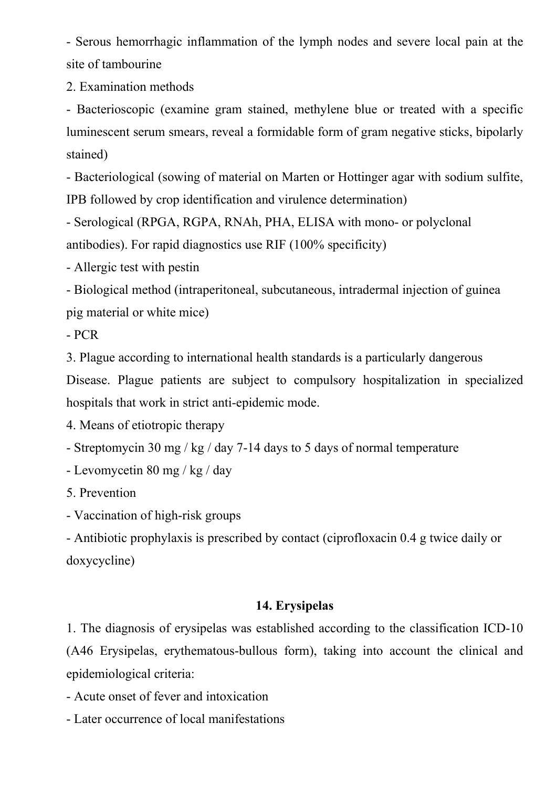- Serous hemorrhagic inflammation of the lymph nodes and severe local pain at the site of tambourine

2. Examination methods

- Bacterioscopic (examine gram stained, methylene blue or treated with a specific luminescent serum smears, reveal a formidable form of gram negative sticks, bipolarly stained)

- Bacteriological (sowing of material on Marten or Hottinger agar with sodium sulfite, IPB followed by crop identification and virulence determination)

- Serological (RPGA, RGPA, RNAh, PHA, ELISA with mono- or polyclonal antibodies). For rapid diagnostics use RIF (100% specificity)

- Allergic test with pestin

- Biological method (intraperitoneal, subcutaneous, intradermal injection of guinea pig material or white mice)

- PCR

3. Plague according to international health standards is a particularly dangerous

Disease. Plague patients are subject to compulsory hospitalization in specialized hospitals that work in strict anti-epidemic mode.

4. Means of etiotropic therapy

- Streptomycin 30 mg / kg / day 7-14 days to 5 days of normal temperature

- Levomycetin 80 mg / kg / day

5. Prevention

- Vaccination of high-risk groups

- Antibiotic prophylaxis is prescribed by contact (ciprofloxacin 0.4 g twice daily or doxycycline)

# **14. Erysipelas**

1. The diagnosis of erysipelas was established according to the classification ICD-10 (A46 Erysipelas, erythematous-bullous form), taking into account the clinical and epidemiological criteria:

- Acute onset of fever and intoxication

- Later occurrence of local manifestations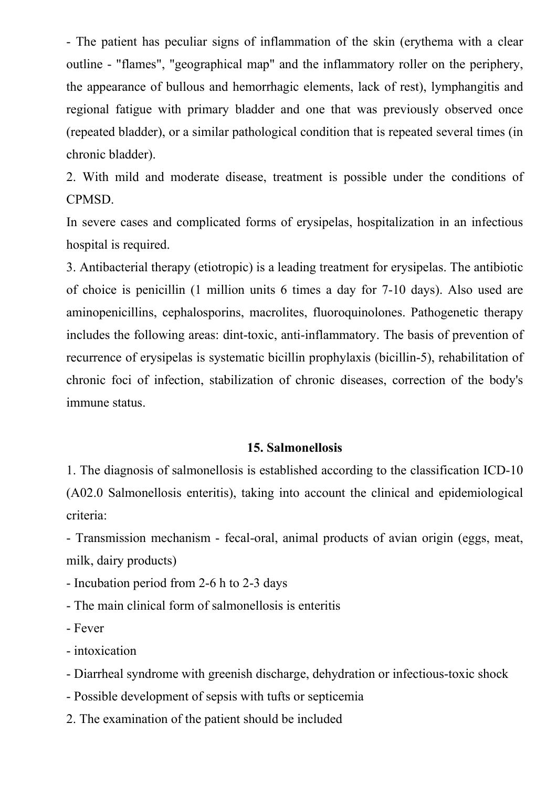- The patient has peculiar signs of inflammation of the skin (erythema with a clear outline - "flames", "geographical map" and the inflammatory roller on the periphery, the appearance of bullous and hemorrhagic elements, lack of rest), lymphangitis and regional fatigue with primary bladder and one that was previously observed once (repeated bladder), or a similar pathological condition that is repeated several times (in chronic bladder).

2. With mild and moderate disease, treatment is possible under the conditions of CPMSD.

In severe cases and complicated forms of erysipelas, hospitalization in an infectious hospital is required.

3. Antibacterial therapy (etiotropic) is a leading treatment for erysipelas. The antibiotic of choice is penicillin (1 million units 6 times a day for 7-10 days). Also used are aminopenicillins, cephalosporins, macrolites, fluoroquinolones. Pathogenetic therapy includes the following areas: dint-toxic, anti-inflammatory. The basis of prevention of recurrence of erysipelas is systematic bicillin prophylaxis (bicillin-5), rehabilitation of chronic foci of infection, stabilization of chronic diseases, correction of the body's immune status.

#### **15. Salmonellosis**

1. The diagnosis of salmonellosis is established according to the classification ICD-10 (A02.0 Salmonellosis enteritis), taking into account the clinical and epidemiological criteria:

- Transmission mechanism - fecal-oral, animal products of avian origin (eggs, meat, milk, dairy products)

- Incubation period from 2-6 h to 2-3 days

- The main clinical form of salmonellosis is enteritis

- Fever

- intoxication

- Diarrheal syndrome with greenish discharge, dehydration or infectious-toxic shock

- Possible development of sepsis with tufts or septicemia

2. The examination of the patient should be included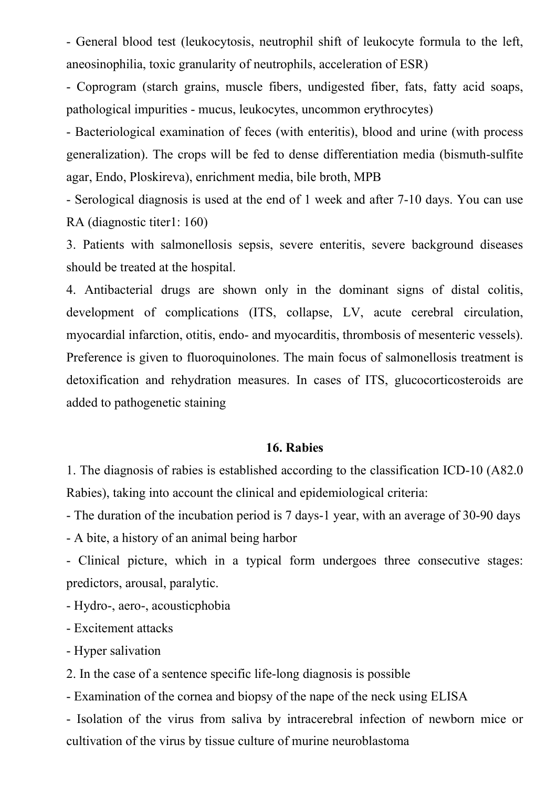- General blood test (leukocytosis, neutrophil shift of leukocyte formula to the left, aneosinophilia, toxic granularity of neutrophils, acceleration of ESR)

- Coprogram (starch grains, muscle fibers, undigested fiber, fats, fatty acid soaps, pathological impurities - mucus, leukocytes, uncommon erythrocytes)

- Bacteriological examination of feces (with enteritis), blood and urine (with process generalization). The crops will be fed to dense differentiation media (bismuth-sulfite agar, Endo, Ploskireva), enrichment media, bile broth, MPB

- Serological diagnosis is used at the end of 1 week and after 7-10 days. You can use RA (diagnostic titer1: 160)

3. Patients with salmonellosis sepsis, severe enteritis, severe background diseases should be treated at the hospital.

4. Antibacterial drugs are shown only in the dominant signs of distal colitis, development of complications (ITS, collapse, LV, acute cerebral circulation, myocardial infarction, otitis, endo- and myocarditis, thrombosis of mesenteric vessels). Preference is given to fluoroquinolones. The main focus of salmonellosis treatment is detoxification and rehydration measures. In cases of ITS, glucocorticosteroids are added to pathogenetic staining

#### **16. Rabies**

1. The diagnosis of rabies is established according to the classification ICD-10 (A82.0 Rabies), taking into account the clinical and epidemiological criteria:

- The duration of the incubation period is 7 days-1 year, with an average of 30-90 days

- A bite, a history of an animal being harbor

- Clinical picture, which in a typical form undergoes three consecutive stages: predictors, arousal, paralytic.

- Hydro-, aero-, acousticphobia

- Excitement attacks

- Hyper salivation

2. In the case of a sentence specific life-long diagnosis is possible

- Examination of the cornea and biopsy of the nape of the neck using ELISA

- Isolation of the virus from saliva by intracerebral infection of newborn mice or cultivation of the virus by tissue culture of murine neuroblastoma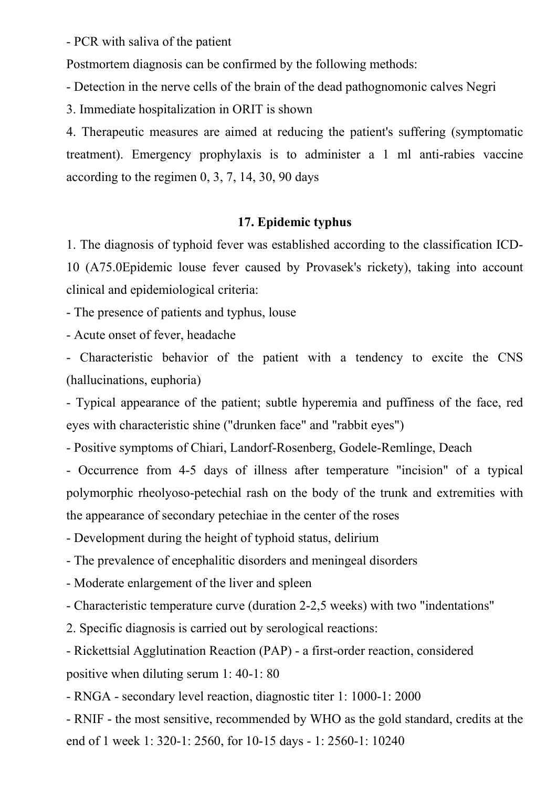- PCR with saliva of the patient

Postmortem diagnosis can be confirmed by the following methods:

- Detection in the nerve cells of the brain of the dead pathognomonic calves Negri

3. Immediate hospitalization in ORIT is shown

4. Therapeutic measures are aimed at reducing the patient's suffering (symptomatic treatment). Emergency prophylaxis is to administer a 1 ml anti-rabies vaccine according to the regimen 0, 3, 7, 14, 30, 90 days

# **17. Epidemic typhus**

1. The diagnosis of typhoid fever was established according to the classification ICD-10 (A75.0Epidemic louse fever caused by Provasek's rickety), taking into account clinical and epidemiological criteria:

- The presence of patients and typhus, louse

- Acute onset of fever, headache

- Characteristic behavior of the patient with a tendency to excite the CNS (hallucinations, euphoria)

- Typical appearance of the patient; subtle hyperemia and puffiness of the face, red eyes with characteristic shine ("drunken face" and "rabbit eyes")

- Positive symptoms of Chiari, Landorf-Rosenberg, Godele-Remlinge, Deach

- Occurrence from 4-5 days of illness after temperature "incision" of a typical polymorphic rheolyoso-petechial rash on the body of the trunk and extremities with the appearance of secondary petechiae in the center of the roses

- Development during the height of typhoid status, delirium

- The prevalence of encephalitic disorders and meningeal disorders

- Moderate enlargement of the liver and spleen

- Characteristic temperature curve (duration 2-2,5 weeks) with two "indentations"

2. Specific diagnosis is carried out by serological reactions:

- Rickettsial Agglutination Reaction (PAP) - a first-order reaction, considered positive when diluting serum 1: 40-1: 80

- RNGA - secondary level reaction, diagnostic titer 1: 1000-1: 2000

- RNIF - the most sensitive, recommended by WHO as the gold standard, credits at the end of 1 week 1: 320-1: 2560, for 10-15 days - 1: 2560-1: 10240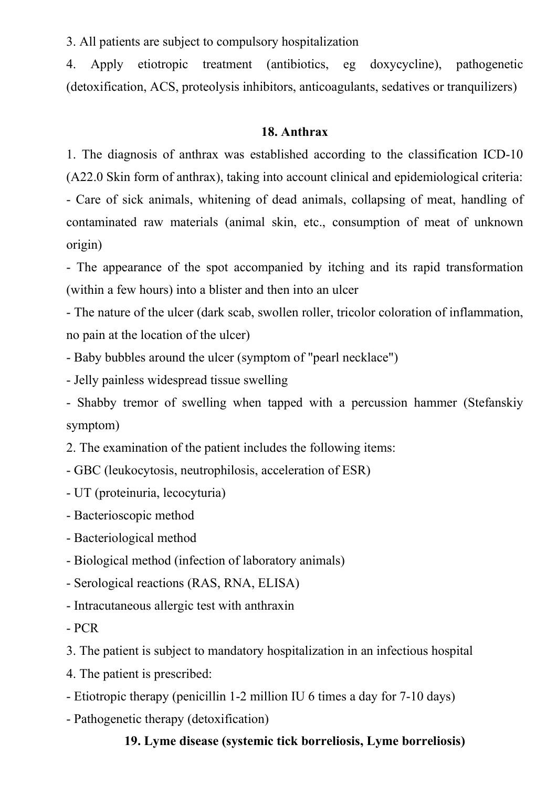3. All patients are subject to compulsory hospitalization

4. Apply etiotropic treatment (antibiotics, eg doxycycline), pathogenetic (detoxification, ACS, proteolysis inhibitors, anticoagulants, sedatives or tranquilizers)

# **18. Anthrax**

1. The diagnosis of anthrax was established according to the classification ICD-10 (A22.0 Skin form of anthrax), taking into account clinical and epidemiological criteria: - Care of sick animals, whitening of dead animals, collapsing of meat, handling of contaminated raw materials (animal skin, etc., consumption of meat of unknown origin)

- The appearance of the spot accompanied by itching and its rapid transformation (within a few hours) into a blister and then into an ulcer

- The nature of the ulcer (dark scab, swollen roller, tricolor coloration of inflammation, no pain at the location of the ulcer)

- Baby bubbles around the ulcer (symptom of "pearl necklace")

- Jelly painless widespread tissue swelling

- Shabby tremor of swelling when tapped with a percussion hammer (Stefanskiy symptom)

2. The examination of the patient includes the following items:

- GBC (leukocytosis, neutrophilosis, acceleration of ESR)

- UT (proteinuria, lecocyturia)

- Bacterioscopic method

- Bacteriological method

- Biological method (infection of laboratory animals)

- Serological reactions (RAS, RNA, ELISA)

- Intracutaneous allergic test with anthraxin

- PCR

3. The patient is subject to mandatory hospitalization in an infectious hospital

- 4. The patient is prescribed:
- Etiotropic therapy (penicillin 1-2 million IU 6 times a day for 7-10 days)
- Pathogenetic therapy (detoxification)

# **19. Lyme disease (systemic tick borreliosis, Lyme borreliosis)**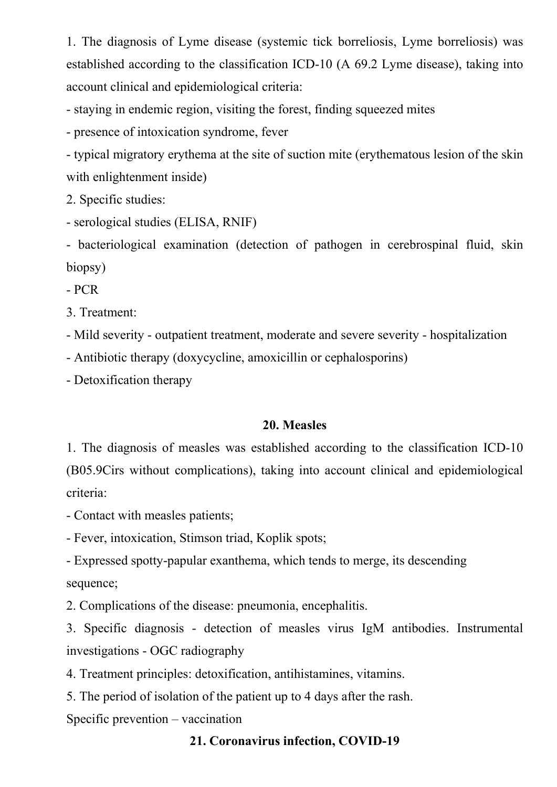1. The diagnosis of Lyme disease (systemic tick borreliosis, Lyme borreliosis) was established according to the classification ICD-10 (A 69.2 Lyme disease), taking into account clinical and epidemiological criteria:

- staying in endemic region, visiting the forest, finding squeezed mites

- presence of intoxication syndrome, fever

- typical migratory erythema at the site of suction mite (erythematous lesion of the skin with enlightenment inside)

2. Specific studies:

- serological studies (ELISA, RNIF)

- bacteriological examination (detection of pathogen in cerebrospinal fluid, skin biopsy)

- PCR

3. Treatment:

- Mild severity - outpatient treatment, moderate and severe severity - hospitalization

- Antibiotic therapy (doxycycline, amoxicillin or cephalosporins)

- Detoxification therapy

## **20. Measles**

1. The diagnosis of measles was established according to the classification ICD-10 (B05.9Cirs without complications), taking into account clinical and epidemiological criteria:

- Contact with measles patients;

- Fever, intoxication, Stimson triad, Koplik spots;

- Expressed spotty-papular exanthema, which tends to merge, its descending sequence;

2. Complications of the disease: pneumonia, encephalitis.

3. Specific diagnosis - detection of measles virus IgM antibodies. Instrumental investigations - OGC radiography

4. Treatment principles: detoxification, antihistamines, vitamins.

5. The period of isolation of the patient up to 4 days after the rash.

Specific prevention – vaccination

# **21. Coronavirus infection, COVID-19**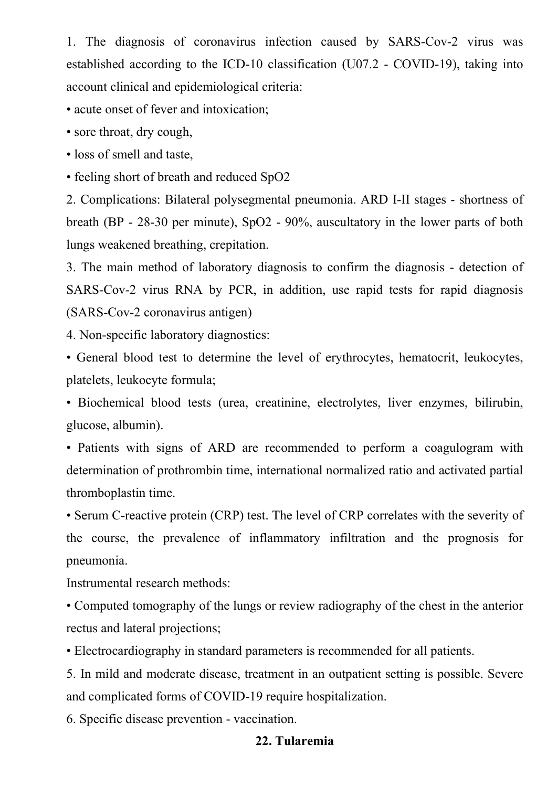1. The diagnosis of coronavirus infection caused by SARS-Cov-2 virus was established according to the ICD-10 classification (U07.2 - COVID-19), taking into account clinical and epidemiological criteria:

• acute onset of fever and intoxication;

• sore throat, dry cough,

• loss of smell and taste,

• feeling short of breath and reduced SpO2

2. Complications: Bilateral polysegmental pneumonia. ARD I-II stages - shortness of breath (BP - 28-30 per minute), SpO2 - 90%, auscultatory in the lower parts of both lungs weakened breathing, crepitation.

3. The main method of laboratory diagnosis to confirm the diagnosis - detection of SARS-Cov-2 virus RNA by PCR, in addition, use rapid tests for rapid diagnosis (SARS-Cov-2 coronavirus antigen)

4. Non-specific laboratory diagnostics:

• General blood test to determine the level of erythrocytes, hematocrit, leukocytes, platelets, leukocyte formula;

• Biochemical blood tests (urea, creatinine, electrolytes, liver enzymes, bilirubin, glucose, albumin).

• Patients with signs of ARD are recommended to perform a coagulogram with determination of prothrombin time, international normalized ratio and activated partial thromboplastin time.

• Serum C-reactive protein (CRP) test. The level of CRP correlates with the severity of the course, the prevalence of inflammatory infiltration and the prognosis for pneumonia.

Instrumental research methods:

• Computed tomography of the lungs or review radiography of the chest in the anterior rectus and lateral projections;

• Electrocardiography in standard parameters is recommended for all patients.

5. In mild and moderate disease, treatment in an outpatient setting is possible. Severe and complicated forms of COVID-19 require hospitalization.

6. Specific disease prevention - vaccination.

### **22. Tularemia**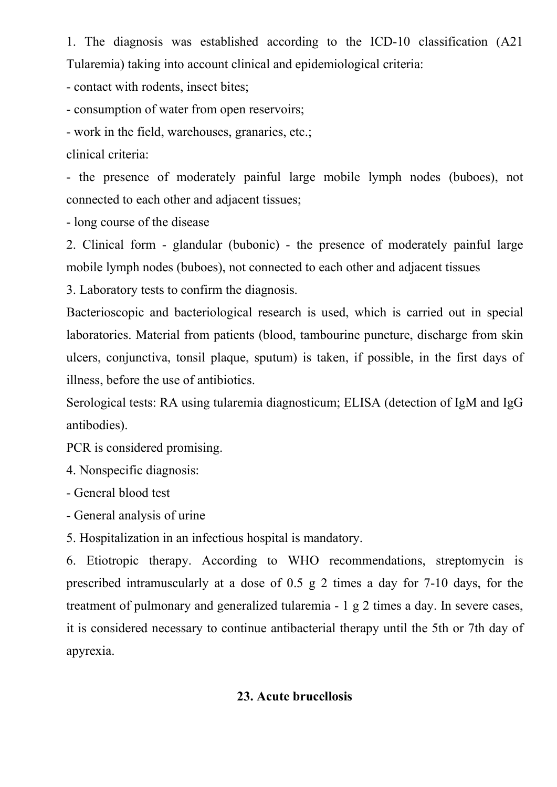1. The diagnosis was established according to the ICD-10 classification (A21 Tularemia) taking into account clinical and epidemiological criteria:

- contact with rodents, insect bites;

- consumption of water from open reservoirs;

- work in the field, warehouses, granaries, etc.;

clinical criteria:

- the presence of moderately painful large mobile lymph nodes (buboes), not connected to each other and adjacent tissues;

- long course of the disease

2. Clinical form - glandular (bubonic) - the presence of moderately painful large mobile lymph nodes (buboes), not connected to each other and adjacent tissues

3. Laboratory tests to confirm the diagnosis.

Bacterioscopic and bacteriological research is used, which is carried out in special laboratories. Material from patients (blood, tambourine puncture, discharge from skin ulcers, conjunctiva, tonsil plaque, sputum) is taken, if possible, in the first days of illness, before the use of antibiotics.

Serological tests: RA using tularemia diagnosticum; ELISA (detection of IgM and IgG antibodies).

PCR is considered promising.

4. Nonspecific diagnosis:

- General blood test

- General analysis of urine

5. Hospitalization in an infectious hospital is mandatory.

6. Etiotropic therapy. According to WHO recommendations, streptomycin is prescribed intramuscularly at a dose of 0.5 g 2 times a day for 7-10 days, for the treatment of pulmonary and generalized tularemia - 1 g 2 times a day. In severe cases, it is considered necessary to continue antibacterial therapy until the 5th or 7th day of apyrexia.

## **23. Acute brucellosis**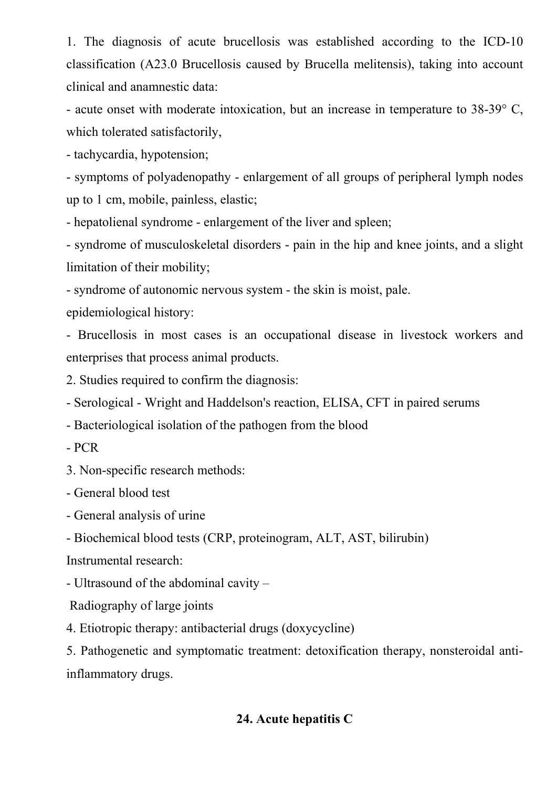1. The diagnosis of acute brucellosis was established according to the ICD-10 classification (A23.0 Brucellosis caused by Brucella melitensis), taking into account clinical and anamnestic data:

- acute onset with moderate intoxication, but an increase in temperature to 38-39° C, which tolerated satisfactorily,

- tachycardia, hypotension;

- symptoms of polyadenopathy - enlargement of all groups of peripheral lymph nodes up to 1 cm, mobile, painless, elastic;

- hepatolienal syndrome - enlargement of the liver and spleen;

- syndrome of musculoskeletal disorders - pain in the hip and knee joints, and a slight limitation of their mobility;

- syndrome of autonomic nervous system - the skin is moist, pale.

epidemiological history:

- Brucellosis in most cases is an occupational disease in livestock workers and enterprises that process animal products.

2. Studies required to confirm the diagnosis:

- Serological - Wright and Haddelson's reaction, ELISA, CFT in paired serums

- Bacteriological isolation of the pathogen from the blood

- PCR

3. Non-specific research methods:

- General blood test

- General analysis of urine

- Biochemical blood tests (CRP, proteinogram, ALT, AST, bilirubin)

Instrumental research:

- Ultrasound of the abdominal cavity –

Radiography of large joints

4. Etiotropic therapy: antibacterial drugs (doxycycline)

5. Pathogenetic and symptomatic treatment: detoxification therapy, nonsteroidal antiinflammatory drugs.

# **24. Acute hepatitis C**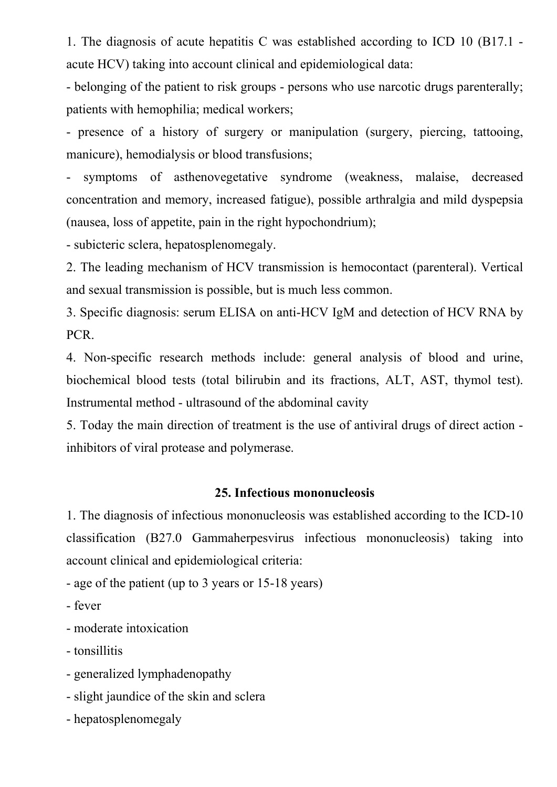1. The diagnosis of acute hepatitis C was established according to ICD 10 (B17.1 acute HCV) taking into account clinical and epidemiological data:

- belonging of the patient to risk groups - persons who use narcotic drugs parenterally; patients with hemophilia; medical workers;

- presence of a history of surgery or manipulation (surgery, piercing, tattooing, manicure), hemodialysis or blood transfusions;

symptoms of asthenovegetative syndrome (weakness, malaise, decreased concentration and memory, increased fatigue), possible arthralgia and mild dyspepsia (nausea, loss of appetite, pain in the right hypochondrium);

- subicteric sclera, hepatosplenomegaly.

2. The leading mechanism of HCV transmission is hemocontact (parenteral). Vertical and sexual transmission is possible, but is much less common.

3. Specific diagnosis: serum ELISA on anti-HCV IgM and detection of HCV RNA by PCR.

4. Non-specific research methods include: general analysis of blood and urine, biochemical blood tests (total bilirubin and its fractions, ALT, AST, thymol test). Instrumental method - ultrasound of the abdominal cavity

5. Today the main direction of treatment is the use of antiviral drugs of direct action inhibitors of viral protease and polymerase.

#### **25. Infectious mononucleosis**

1. The diagnosis of infectious mononucleosis was established according to the ICD-10 classification (B27.0 Gammaherpesvirus infectious mononucleosis) taking into account clinical and epidemiological criteria:

- age of the patient (up to 3 years or 15-18 years)

- fever

- moderate intoxication
- tonsillitis
- generalized lymphadenopathy
- slight jaundice of the skin and sclera
- hepatosplenomegaly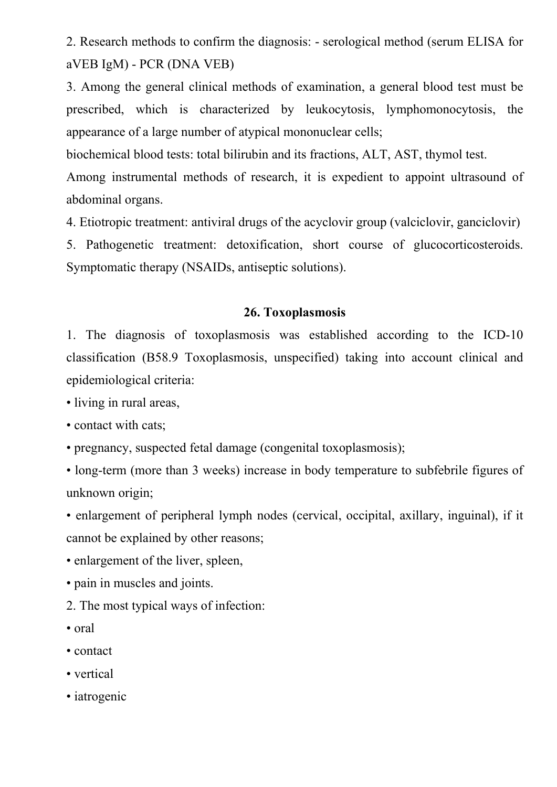2. Research methods to confirm the diagnosis: - serological method (serum ELISA for aVEB IgM) - PCR (DNA VEB)

3. Among the general clinical methods of examination, a general blood test must be prescribed, which is characterized by leukocytosis, lymphomonocytosis, the appearance of a large number of atypical mononuclear cells;

biochemical blood tests: total bilirubin and its fractions, ALT, AST, thymol test.

Among instrumental methods of research, it is expedient to appoint ultrasound of abdominal organs.

4. Etiotropic treatment: antiviral drugs of the acyclovir group (valciclovir, ganciclovir)

5. Pathogenetic treatment: detoxification, short course of glucocorticosteroids. Symptomatic therapy (NSAIDs, antiseptic solutions).

#### **26. Toxoplasmosis**

1. The diagnosis of toxoplasmosis was established according to the ICD-10 classification (B58.9 Toxoplasmosis, unspecified) taking into account clinical and epidemiological criteria:

• living in rural areas,

• contact with cats;

• pregnancy, suspected fetal damage (congenital toxoplasmosis);

• long-term (more than 3 weeks) increase in body temperature to subfebrile figures of unknown origin;

• enlargement of peripheral lymph nodes (cervical, occipital, axillary, inguinal), if it cannot be explained by other reasons;

• enlargement of the liver, spleen,

• pain in muscles and joints.

2. The most typical ways of infection:

• oral

• contact

- vertical
- iatrogenic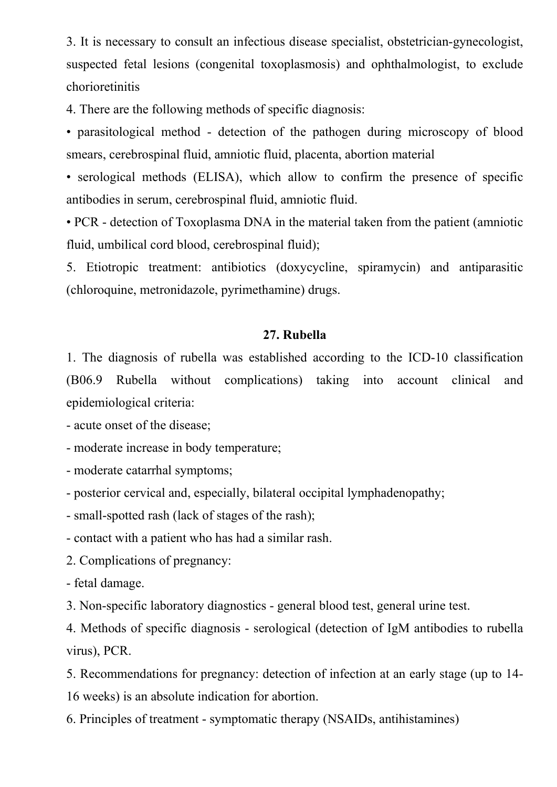3. It is necessary to consult an infectious disease specialist, obstetrician-gynecologist, suspected fetal lesions (congenital toxoplasmosis) and ophthalmologist, to exclude chorioretinitis

4. There are the following methods of specific diagnosis:

• parasitological method - detection of the pathogen during microscopy of blood smears, cerebrospinal fluid, amniotic fluid, placenta, abortion material

• serological methods (ELISA), which allow to confirm the presence of specific antibodies in serum, cerebrospinal fluid, amniotic fluid.

• PCR - detection of Toxoplasma DNA in the material taken from the patient (amniotic fluid, umbilical cord blood, cerebrospinal fluid);

5. Etiotropic treatment: antibiotics (doxycycline, spiramycin) and antiparasitic (chloroquine, metronidazole, pyrimethamine) drugs.

### **27. Rubella**

1. The diagnosis of rubella was established according to the ICD-10 classification (B06.9 Rubella without complications) taking into account clinical and epidemiological criteria:

- acute onset of the disease;

- moderate increase in body temperature;

- moderate catarrhal symptoms;

- posterior cervical and, especially, bilateral occipital lymphadenopathy;

- small-spotted rash (lack of stages of the rash);

- contact with a patient who has had a similar rash.

2. Complications of pregnancy:

- fetal damage.

3. Non-specific laboratory diagnostics - general blood test, general urine test.

4. Methods of specific diagnosis - serological (detection of IgM antibodies to rubella virus), PCR.

5. Recommendations for pregnancy: detection of infection at an early stage (up to 14- 16 weeks) is an absolute indication for abortion.

6. Principles of treatment - symptomatic therapy (NSAIDs, antihistamines)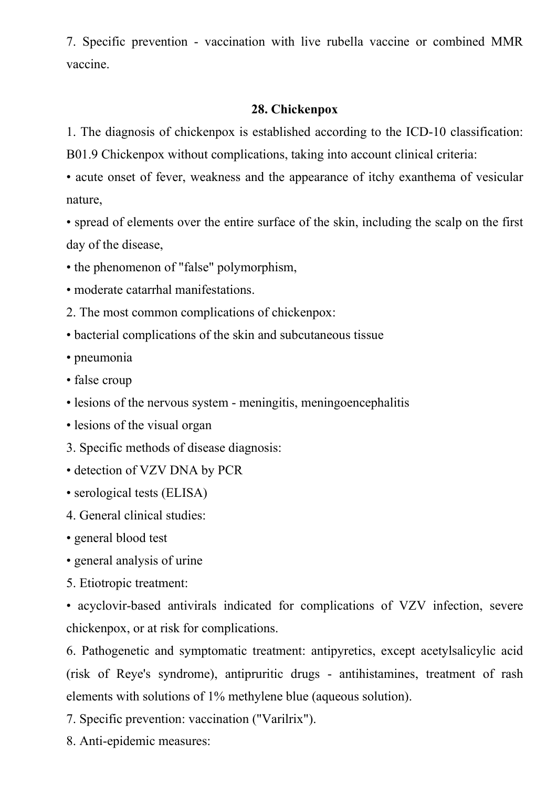7. Specific prevention - vaccination with live rubella vaccine or combined MMR vaccine.

### **28. Chickenpox**

1. The diagnosis of chickenpox is established according to the ICD-10 classification: B01.9 Chickenpox without complications, taking into account clinical criteria:

• acute onset of fever, weakness and the appearance of itchy exanthema of vesicular nature,

• spread of elements over the entire surface of the skin, including the scalp on the first day of the disease,

• the phenomenon of "false" polymorphism,

• moderate catarrhal manifestations.

2. The most common complications of chickenpox:

- bacterial complications of the skin and subcutaneous tissue
- pneumonia
- false croup
- lesions of the nervous system meningitis, meningoencephalitis
- lesions of the visual organ
- 3. Specific methods of disease diagnosis:
- detection of VZV DNA by PCR
- serological tests (ELISA)
- 4. General clinical studies:
- general blood test
- general analysis of urine
- 5. Etiotropic treatment:

• acyclovir-based antivirals indicated for complications of VZV infection, severe chickenpox, or at risk for complications.

6. Pathogenetic and symptomatic treatment: antipyretics, except acetylsalicylic acid (risk of Reye's syndrome), antipruritic drugs - antihistamines, treatment of rash elements with solutions of 1% methylene blue (aqueous solution).

7. Specific prevention: vaccination ("Varilrix").

8. Anti-epidemic measures: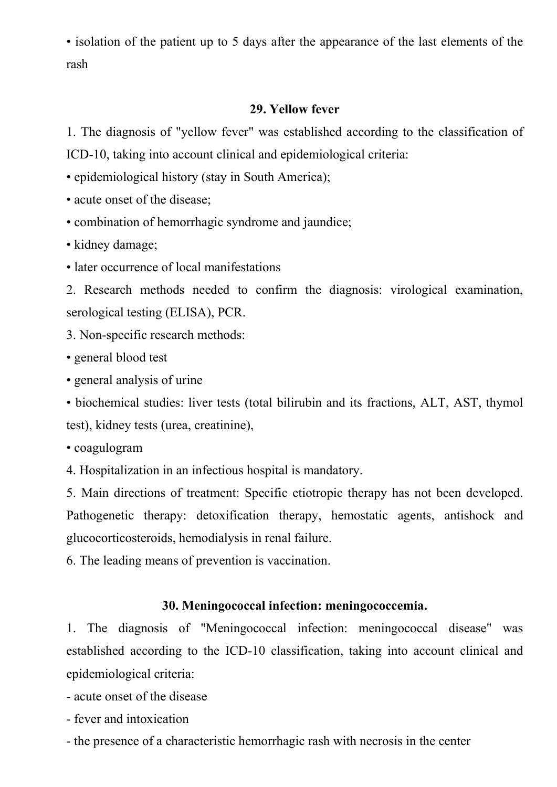• isolation of the patient up to 5 days after the appearance of the last elements of the rash

### **29. Yellow fever**

1. The diagnosis of "yellow fever" was established according to the classification of ICD-10, taking into account clinical and epidemiological criteria:

• epidemiological history (stay in South America);

• acute onset of the disease:

• combination of hemorrhagic syndrome and jaundice;

• kidney damage;

• later occurrence of local manifestations

2. Research methods needed to confirm the diagnosis: virological examination, serological testing (ELISA), PCR.

3. Non-specific research methods:

• general blood test

• general analysis of urine

• biochemical studies: liver tests (total bilirubin and its fractions, ALT, AST, thymol test), kidney tests (urea, creatinine),

• coagulogram

4. Hospitalization in an infectious hospital is mandatory.

5. Main directions of treatment: Specific etiotropic therapy has not been developed. Pathogenetic therapy: detoxification therapy, hemostatic agents, antishock and glucocorticosteroids, hemodialysis in renal failure.

6. The leading means of prevention is vaccination.

## **30. Meningococcal infection: meningococcemia.**

1. The diagnosis of "Meningococcal infection: meningococcal disease" was established according to the ICD-10 classification, taking into account clinical and epidemiological criteria:

- acute onset of the disease

- fever and intoxication

- the presence of a characteristic hemorrhagic rash with necrosis in the center